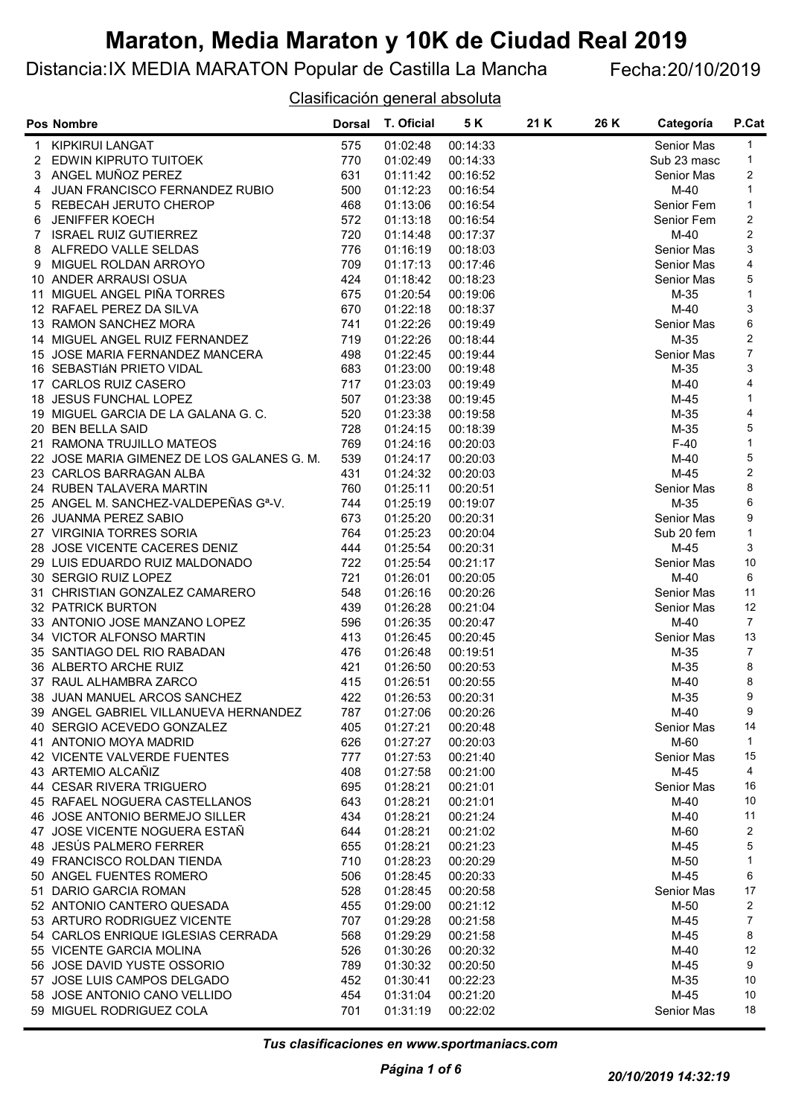### Distancia:IX MEDIA MARATON Popular de Castilla La Mancha Fecha:20/10/2019

Clasificación general absoluta

|   | <b>Pos Nombre</b>                                 | <b>Dorsal</b> | T. Oficial | 5 K      | 21 K | 26 K | Categoría         | P.Cat          |
|---|---------------------------------------------------|---------------|------------|----------|------|------|-------------------|----------------|
| 1 | KIPKIRUI LANGAT                                   | 575           | 01:02:48   | 00:14:33 |      |      | Senior Mas        | 1              |
|   | 2 EDWIN KIPRUTO TUITOEK                           | 770           | 01:02:49   | 00:14:33 |      |      | Sub 23 masc       | 1              |
|   | 3 ANGEL MUÑOZ PEREZ                               | 631           | 01:11:42   | 00:16:52 |      |      | Senior Mas        | 2              |
| 4 | JUAN FRANCISCO FERNANDEZ RUBIO                    | 500           | 01:12:23   | 00:16:54 |      |      | $M-40$            | $\mathbf{1}$   |
|   | 5 REBECAH JERUTO CHEROP                           | 468           | 01:13:06   | 00:16:54 |      |      | Senior Fem        | 1              |
| 6 | <b>JENIFFER KOECH</b>                             | 572           | 01:13:18   | 00:16:54 |      |      | Senior Fem        | 2              |
| 7 | <b>ISRAEL RUIZ GUTIERREZ</b>                      | 720           | 01:14:48   | 00:17:37 |      |      | $M-40$            | 2              |
|   | 8 ALFREDO VALLE SELDAS                            | 776           | 01:16:19   | 00:18:03 |      |      | Senior Mas        | 3              |
| 9 | MIGUEL ROLDAN ARROYO                              | 709           | 01:17:13   | 00:17:46 |      |      | Senior Mas        | 4              |
|   | 10 ANDER ARRAUSI OSUA                             | 424           | 01:18:42   | 00:18:23 |      |      | Senior Mas        | 5              |
|   | 11 MIGUEL ANGEL PIÑA TORRES                       | 675           | 01:20:54   | 00:19:06 |      |      | M-35              | $\mathbf{1}$   |
|   | 12 RAFAEL PEREZ DA SILVA                          | 670           | 01:22:18   | 00:18:37 |      |      | $M-40$            | 3              |
|   | 13 RAMON SANCHEZ MORA                             | 741           | 01:22:26   | 00:19:49 |      |      | Senior Mas        | 6              |
|   | 14 MIGUEL ANGEL RUIZ FERNANDEZ                    | 719           | 01:22:26   | 00:18:44 |      |      | M-35              | $\overline{c}$ |
|   | 15 JOSE MARIA FERNANDEZ MANCERA                   | 498           | 01:22:45   | 00:19:44 |      |      | Senior Mas        | $\overline{7}$ |
|   | 16 SEBASTIÁN PRIETO VIDAL                         | 683           | 01:23:00   | 00:19:48 |      |      | M-35              | 3              |
|   | 17 CARLOS RUIZ CASERO                             | 717           | 01:23:03   | 00:19:49 |      |      | M-40              | 4              |
|   | 18 JESUS FUNCHAL LOPEZ                            | 507           | 01:23:38   | 00:19:45 |      |      | $M-45$            | 1              |
|   | 19 MIGUEL GARCIA DE LA GALANA G. C.               | 520           | 01:23:38   | 00:19:58 |      |      | M-35              | 4              |
|   | 20 BEN BELLA SAID                                 | 728           | 01:24:15   | 00:18:39 |      |      | $M-35$            | 5              |
|   | 21 RAMONA TRUJILLO MATEOS                         | 769           | 01:24:16   | 00:20:03 |      |      | $F-40$            | $\mathbf{1}$   |
|   | 22 JOSE MARIA GIMENEZ DE LOS GALANES G. M.        | 539           | 01:24:17   | 00:20:03 |      |      | M-40              | 5              |
|   | 23 CARLOS BARRAGAN ALBA                           | 431           | 01:24:32   | 00:20:03 |      |      | M-45              | 2              |
|   | 24 RUBEN TALAVERA MARTIN                          | 760           | 01:25:11   | 00:20:51 |      |      | Senior Mas        | 8              |
|   | 25 ANGEL M. SANCHEZ-VALDEPEÑAS G <sup>a</sup> -V. | 744           | 01:25:19   | 00:19:07 |      |      | M-35              | 6              |
|   | 26 JUANMA PEREZ SABIO                             | 673           | 01:25:20   | 00:20:31 |      |      | Senior Mas        | 9              |
|   | 27 VIRGINIA TORRES SORIA                          | 764           | 01:25:23   | 00:20:04 |      |      | Sub 20 fem        | $\mathbf{1}$   |
|   | 28 JOSE VICENTE CACERES DENIZ                     | 444           | 01:25:54   | 00:20:31 |      |      | $M-45$            | 3              |
|   | 29 LUIS EDUARDO RUIZ MALDONADO                    | 722           | 01:25:54   | 00:21:17 |      |      | Senior Mas        | 10             |
|   | 30 SERGIO RUIZ LOPEZ                              | 721           | 01:26:01   | 00:20:05 |      |      | $M-40$            | 6              |
|   | 31 CHRISTIAN GONZALEZ CAMARERO                    | 548           | 01:26:16   | 00:20:26 |      |      | Senior Mas        | 11             |
|   | 32 PATRICK BURTON                                 | 439           | 01:26:28   | 00:21:04 |      |      | Senior Mas        | 12             |
|   | 33 ANTONIO JOSE MANZANO LOPEZ                     | 596           | 01:26:35   | 00:20:47 |      |      | $M-40$            | 7              |
|   | 34 VICTOR ALFONSO MARTIN                          | 413           | 01:26:45   | 00:20:45 |      |      | Senior Mas        | 13             |
|   | 35 SANTIAGO DEL RIO RABADAN                       | 476           | 01:26:48   | 00:19:51 |      |      | $M-35$            | $\overline{7}$ |
|   | 36 ALBERTO ARCHE RUIZ                             | 421           | 01:26:50   | 00:20:53 |      |      | $M-35$            | 8              |
|   | 37 RAUL ALHAMBRA ZARCO                            | 415           | 01:26:51   | 00:20:55 |      |      | M-40              | 8              |
|   | 38 JUAN MANUEL ARCOS SANCHEZ                      | 422           | 01:26:53   | 00:20:31 |      |      | $M-35$            | 9              |
|   | 39 ANGEL GABRIEL VILLANUEVA HERNANDEZ             | 787           | 01:27:06   | 00:20:26 |      |      | $M-40$            | 9              |
|   | 40 SERGIO ACEVEDO GONZALEZ                        | 405           | 01:27:21   | 00:20:48 |      |      | <b>Senior Mas</b> | 14             |
|   | 41 ANTONIO MOYA MADRID                            | 626           | 01:27:27   | 00:20:03 |      |      | M-60              | $\mathbf{1}$   |
|   | 42 VICENTE VALVERDE FUENTES                       | 777           | 01:27:53   | 00:21:40 |      |      | Senior Mas        | 15             |
|   | 43 ARTEMIO ALCAÑIZ                                | 408           | 01:27:58   | 00:21:00 |      |      | $M-45$            | 4              |
|   | 44 CESAR RIVERA TRIGUERO                          | 695           | 01:28:21   | 00:21:01 |      |      | Senior Mas        | 16             |
|   | 45 RAFAEL NOGUERA CASTELLANOS                     | 643           | 01:28:21   | 00:21:01 |      |      | $M-40$            | 10             |
|   | 46 JOSE ANTONIO BERMEJO SILLER                    | 434           | 01:28:21   | 00:21:24 |      |      | $M-40$            | 11             |
|   | 47 JOSE VICENTE NOGUERA ESTAÑ                     | 644           | 01:28:21   | 00:21:02 |      |      | M-60              | 2              |
|   | 48 JESÚS PALMERO FERRER                           | 655           | 01:28:21   | 00:21:23 |      |      | M-45              | 5              |
|   | 49 FRANCISCO ROLDAN TIENDA                        | 710           | 01:28:23   | 00:20:29 |      |      | M-50              | 1              |
|   | 50 ANGEL FUENTES ROMERO                           | 506           | 01:28:45   | 00:20:33 |      |      | $M-45$            | 6              |
|   | 51 DARIO GARCIA ROMAN                             | 528           | 01:28:45   | 00:20:58 |      |      | Senior Mas        | 17             |
|   | 52 ANTONIO CANTERO QUESADA                        | 455           | 01:29:00   | 00:21:12 |      |      | M-50              | 2              |
|   | 53 ARTURO RODRIGUEZ VICENTE                       | 707           | 01:29:28   | 00:21:58 |      |      | $M-45$            | 7              |
|   | 54 CARLOS ENRIQUE IGLESIAS CERRADA                | 568           | 01:29:29   | 00:21:58 |      |      | $M-45$            | 8              |
|   | 55 VICENTE GARCIA MOLINA                          | 526           | 01:30:26   | 00:20:32 |      |      | $M-40$            | 12             |
|   | 56 JOSE DAVID YUSTE OSSORIO                       | 789           | 01:30:32   | 00:20:50 |      |      | M-45              | 9              |
|   | 57 JOSE LUIS CAMPOS DELGADO                       | 452           | 01:30:41   | 00:22:23 |      |      | M-35              | 10             |
|   | 58 JOSE ANTONIO CANO VELLIDO                      | 454           | 01:31:04   | 00:21:20 |      |      | $M-45$            | 10             |
|   | 59 MIGUEL RODRIGUEZ COLA                          | 701           | 01:31:19   | 00:22:02 |      |      | Senior Mas        | 18             |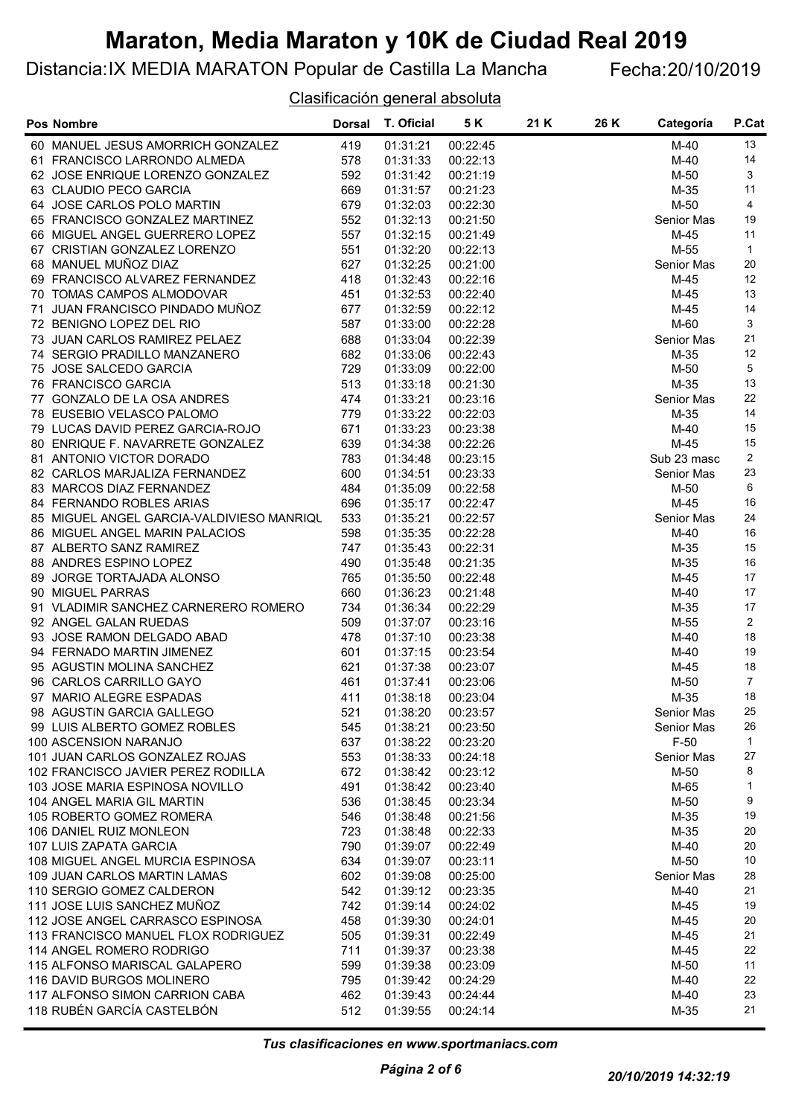### Distancia:IX MEDIA MARATON Popular de Castilla La Mancha Fecha:20/10/2019

#### Clasificación general absoluta

| <b>Pos Nombre</b>                         | <b>Dorsal</b> | T. Oficial | 5 K      | 21 K | 26 K | Categoría   | P.Cat          |
|-------------------------------------------|---------------|------------|----------|------|------|-------------|----------------|
| 60 MANUEL JESUS AMORRICH GONZALEZ         | 419           | 01:31:21   | 00:22:45 |      |      | $M-40$      | 13             |
| 61 FRANCISCO LARRONDO ALMEDA              | 578           | 01:31:33   | 00:22:13 |      |      | M-40        | 14             |
| 62 JOSE ENRIQUE LORENZO GONZALEZ          | 592           | 01:31:42   | 00:21:19 |      |      | M-50        | 3              |
| 63 CLAUDIO PECO GARCIA                    | 669           | 01:31:57   | 00:21:23 |      |      | $M-35$      | 11             |
| 64 JOSE CARLOS POLO MARTIN                | 679           | 01:32:03   | 00:22:30 |      |      | M-50        | 4              |
| 65 FRANCISCO GONZALEZ MARTINEZ            | 552           | 01:32:13   | 00:21:50 |      |      | Senior Mas  | 19             |
| 66 MIGUEL ANGEL GUERRERO LOPEZ            | 557           | 01:32:15   | 00:21:49 |      |      | M-45        | 11             |
| 67 CRISTIAN GONZALEZ LORENZO              | 551           | 01:32:20   | 00:22:13 |      |      | M-55        | $\mathbf{1}$   |
| 68 MANUEL MUÑOZ DIAZ                      | 627           | 01:32:25   | 00:21:00 |      |      | Senior Mas  | 20             |
| 69 FRANCISCO ALVAREZ FERNANDEZ            | 418           | 01:32:43   | 00:22:16 |      |      | M-45        | 12             |
| 70 TOMAS CAMPOS ALMODOVAR                 | 451           | 01:32:53   | 00:22:40 |      |      | M-45        | 13             |
| 71 JUAN FRANCISCO PINDADO MUÑOZ           | 677           | 01:32:59   | 00:22:12 |      |      | $M-45$      | 14             |
| 72 BENIGNO LOPEZ DEL RIO                  | 587           | 01:33:00   | 00:22:28 |      |      | M-60        | 3              |
| 73 JUAN CARLOS RAMIREZ PELAEZ             | 688           | 01:33:04   | 00:22:39 |      |      | Senior Mas  | 21             |
| 74 SERGIO PRADILLO MANZANERO              | 682           | 01:33:06   | 00:22:43 |      |      | M-35        | 12             |
| 75 JOSE SALCEDO GARCIA                    | 729           | 01:33:09   | 00:22:00 |      |      | M-50        | 5              |
| 76 FRANCISCO GARCIA                       | 513           | 01:33:18   | 00:21:30 |      |      | M-35        | 13             |
| 77 GONZALO DE LA OSA ANDRES               | 474           | 01:33:21   | 00:23:16 |      |      | Senior Mas  | 22             |
| 78 EUSEBIO VELASCO PALOMO                 | 779           | 01:33:22   | 00:22:03 |      |      | M-35        | 14             |
| 79 LUCAS DAVID PEREZ GARCIA-ROJO          | 671           | 01:33:23   | 00:23:38 |      |      | $M-40$      | 15             |
| 80 ENRIQUE F. NAVARRETE GONZALEZ          | 639           | 01:34:38   | 00:22:26 |      |      | M-45        | 15             |
| 81 ANTONIO VICTOR DORADO                  | 783           | 01:34:48   | 00:23:15 |      |      | Sub 23 masc | 2              |
| 82 CARLOS MARJALIZA FERNANDEZ             | 600           | 01:34:51   | 00:23:33 |      |      | Senior Mas  | 23             |
| 83 MARCOS DIAZ FERNANDEZ                  | 484           | 01:35:09   | 00:22:58 |      |      | $M-50$      | 6              |
| 84 FERNANDO ROBLES ARIAS                  | 696           | 01:35:17   | 00:22:47 |      |      | M-45        | 16             |
| 85 MIGUEL ANGEL GARCIA-VALDIVIESO MANRIQU | 533           | 01:35:21   | 00:22:57 |      |      | Senior Mas  | 24             |
| 86 MIGUEL ANGEL MARIN PALACIOS            | 598           | 01:35:35   | 00:22:28 |      |      | $M-40$      | 16             |
| 87 ALBERTO SANZ RAMIREZ                   | 747           | 01:35:43   | 00:22:31 |      |      | $M-35$      | 15             |
| 88 ANDRES ESPINO LOPEZ                    | 490           | 01:35:48   | 00:21:35 |      |      | $M-35$      | 16             |
| 89 JORGE TORTAJADA ALONSO                 | 765           | 01:35:50   | 00:22:48 |      |      | $M-45$      | 17             |
| 90 MIGUEL PARRAS                          | 660           | 01:36:23   | 00:21:48 |      |      | $M-40$      | 17             |
| 91 VLADIMIR SANCHEZ CARNERERO ROMERO      | 734           | 01:36:34   | 00:22:29 |      |      | $M-35$      | 17             |
| 92 ANGEL GALAN RUEDAS                     | 509           | 01:37:07   | 00:23:16 |      |      | M-55        | $\overline{2}$ |
| 93 JOSE RAMON DELGADO ABAD                | 478           | 01:37:10   | 00:23:38 |      |      | $M-40$      | 18             |
| 94 FERNADO MARTIN JIMENEZ                 | 601           | 01:37:15   | 00:23:54 |      |      | $M-40$      | 19             |
| 95 AGUSTIN MOLINA SANCHEZ                 | 621           | 01:37:38   | 00:23:07 |      |      | $M-45$      | 18             |
| 96 CARLOS CARRILLO GAYO                   | 461           | 01:37:41   | 00:23:06 |      |      | M-50        | $\overline{7}$ |
| 97 MARIO ALEGRE ESPADAS                   | 411           | 01:38:18   | 00:23:04 |      |      | $M-35$      | 18             |
| 98 AGUSTÍN GARCIA GALLEGO                 | 521           | 01:38:20   | 00:23:57 |      |      | Senior Mas  | 25             |
| 99 LUIS ALBERTO GOMEZ ROBLES              | 545           | 01:38:21   | 00:23:50 |      |      | Senior Mas  | 26             |
| 100 ASCENSION NARANJO                     | 637           | 01:38:22   | 00:23:20 |      |      | $F-50$      | $\mathbf{1}$   |
| 101 JUAN CARLOS GONZALEZ ROJAS            | 553           | 01:38:33   | 00:24:18 |      |      | Senior Mas  | 27             |
| 102 FRANCISCO JAVIER PEREZ RODILLA        | 672           | 01:38:42   | 00:23:12 |      |      | $M-50$      | 8              |
| 103 JOSE MARIA ESPINOSA NOVILLO           | 491           | 01:38:42   | 00:23:40 |      |      | M-65        | 1              |
| 104 ANGEL MARIA GIL MARTIN                | 536           | 01:38:45   | 00:23:34 |      |      | M-50        | 9              |
| 105 ROBERTO GOMEZ ROMERA                  | 546           | 01:38:48   | 00:21:56 |      |      | M-35        | 19             |
| 106 DANIEL RUIZ MONLEON                   | 723           | 01:38:48   | 00:22:33 |      |      | M-35        | 20             |
| 107 LUIS ZAPATA GARCIA                    | 790           | 01:39:07   | 00:22:49 |      |      | $M-40$      | 20             |
| 108 MIGUEL ANGEL MURCIA ESPINOSA          | 634           | 01:39:07   | 00:23:11 |      |      | M-50        | 10             |
| 109 JUAN CARLOS MARTIN LAMAS              | 602           | 01:39:08   | 00:25:00 |      |      | Senior Mas  | 28             |
| 110 SERGIO GOMEZ CALDERON                 | 542           | 01:39:12   | 00:23:35 |      |      | $M-40$      | 21             |
| 111 JOSE LUIS SANCHEZ MUÑOZ               | 742           | 01:39:14   | 00:24:02 |      |      | $M-45$      | 19             |
| 112 JOSE ANGEL CARRASCO ESPINOSA          | 458           | 01:39:30   | 00:24:01 |      |      | M-45        | 20             |
| 113 FRANCISCO MANUEL FLOX RODRIGUEZ       | 505           | 01:39:31   | 00:22:49 |      |      | M-45        | 21             |
| 114 ANGEL ROMERO RODRIGO                  | 711           | 01:39:37   | 00:23:38 |      |      | M-45        | 22             |
| 115 ALFONSO MARISCAL GALAPERO             | 599           | 01:39:38   | 00:23:09 |      |      | M-50        | 11             |
| 116 DAVID BURGOS MOLINERO                 | 795           | 01:39:42   | 00:24:29 |      |      | $M-40$      | 22             |
| 117 ALFONSO SIMON CARRION CABA            | 462           | 01:39:43   | 00:24:44 |      |      | $M-40$      | 23             |
| 118 RUBÉN GARCÍA CASTELBÓN                | 512           | 01:39:55   | 00:24:14 |      |      | M-35        | 21             |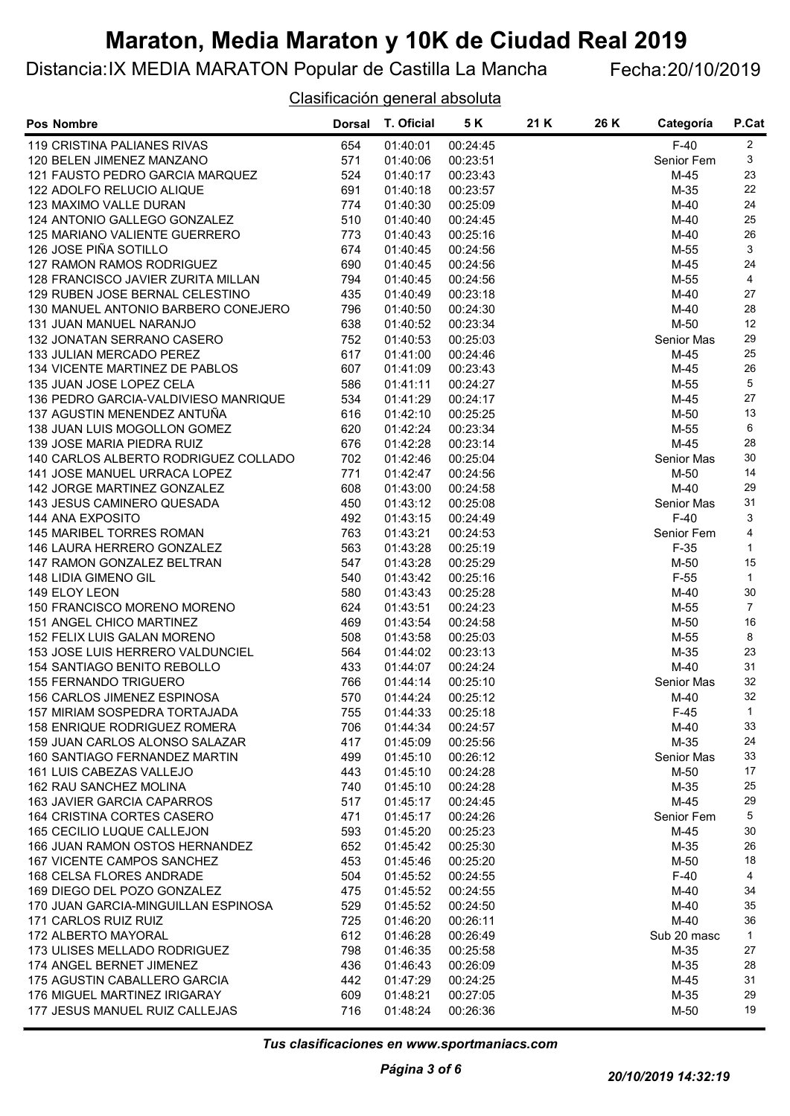### Distancia:IX MEDIA MARATON Popular de Castilla La Mancha Fecha:20/10/2019

Clasificación general absoluta

| <b>Pos Nombre</b>                                                   | <b>Dorsal</b> | T. Oficial           | 5 K                  | 21 K | 26 K | Categoría           | P.Cat          |
|---------------------------------------------------------------------|---------------|----------------------|----------------------|------|------|---------------------|----------------|
| 119 CRISTINA PALIANES RIVAS                                         | 654           | 01:40:01             | 00:24:45             |      |      | $F-40$              | 2              |
| 120 BELEN JIMENEZ MANZANO                                           | 571           | 01:40:06             | 00:23:51             |      |      | Senior Fem          | 3              |
| 121 FAUSTO PEDRO GARCIA MARQUEZ                                     | 524           | 01:40:17             | 00:23:43             |      |      | $M-45$              | 23             |
| 122 ADOLFO RELUCIO ALIQUE                                           | 691           | 01:40:18             | 00:23:57             |      |      | $M-35$              | 22             |
| 123 MAXIMO VALLE DURAN                                              | 774           | 01:40:30             | 00:25:09             |      |      | M-40                | 24             |
| 124 ANTONIO GALLEGO GONZALEZ                                        | 510           | 01:40:40             | 00:24:45             |      |      | M-40                | 25             |
| 125 MARIANO VALIENTE GUERRERO                                       | 773           | 01:40:43             | 00:25:16             |      |      | M-40                | $26\,$         |
| 126 JOSE PIÑA SOTILLO                                               | 674           | 01:40:45             | 00:24:56             |      |      | M-55                | 3              |
| 127 RAMON RAMOS RODRIGUEZ                                           | 690           | 01:40:45             | 00:24:56             |      |      | $M-45$              | 24             |
| 128 FRANCISCO JAVIER ZURITA MILLAN                                  | 794           | 01:40:45             | 00:24:56             |      |      | M-55                | $\overline{4}$ |
| 129 RUBEN JOSE BERNAL CELESTINO                                     | 435           | 01:40:49             | 00:23:18             |      |      | $M-40$              | 27             |
| 130 MANUEL ANTONIO BARBERO CONEJERO                                 | 796           | 01:40:50             | 00:24:30             |      |      | $M-40$              | 28             |
| 131 JUAN MANUEL NARANJO                                             | 638           | 01:40:52             | 00:23:34             |      |      | M-50                | 12             |
| 132 JONATAN SERRANO CASERO                                          | 752           | 01:40:53             | 00:25:03             |      |      | Senior Mas          | 29             |
| 133 JULIAN MERCADO PEREZ                                            | 617           | 01:41:00             | 00:24:46             |      |      | $M-45$              | 25             |
| 134 VICENTE MARTINEZ DE PABLOS                                      | 607           | 01:41:09             | 00:23:43             |      |      | $M-45$              | 26             |
| 135 JUAN JOSE LOPEZ CELA                                            | 586           | 01:41:11             | 00:24:27             |      |      | M-55                | 5              |
| 136 PEDRO GARCIA-VALDIVIESO MANRIQUE                                | 534           | 01:41:29             | 00:24:17             |      |      | M-45                | 27             |
| 137 AGUSTIN MENENDEZ ANTUÑA                                         | 616           | 01:42:10             | 00:25:25             |      |      | M-50                | 13             |
| 138 JUAN LUIS MOGOLLON GOMEZ                                        | 620           | 01:42:24             | 00:23:34             |      |      | M-55                | 6              |
| 139 JOSE MARIA PIEDRA RUIZ                                          | 676           | 01:42:28             | 00:23:14             |      |      | $M-45$              | 28             |
| 140 CARLOS ALBERTO RODRIGUEZ COLLADO                                | 702           | 01:42:46             | 00:25:04             |      |      | Senior Mas          | 30             |
| 141 JOSE MANUEL URRACA LOPEZ                                        | 771           | 01:42:47             | 00:24:56             |      |      | $M-50$              | 14             |
| 142 JORGE MARTINEZ GONZALEZ                                         | 608           | 01:43:00             | 00:24:58             |      |      | $M-40$              | 29             |
| 143 JESUS CAMINERO QUESADA                                          | 450           | 01:43:12             | 00:25:08             |      |      | Senior Mas          | 31             |
| 144 ANA EXPOSITO                                                    | 492           | 01:43:15             | 00:24:49             |      |      | $F-40$              | 3              |
| 145 MARIBEL TORRES ROMAN                                            | 763           | 01:43:21             | 00:24:53             |      |      | Senior Fem          | 4              |
| 146 LAURA HERRERO GONZALEZ                                          | 563           | 01:43:28             | 00:25:19             |      |      | $F-35$              | $\mathbf 1$    |
| 147 RAMON GONZALEZ BELTRAN                                          | 547           | 01:43:28             | 00:25:29             |      |      | M-50                | 15             |
| 148 LIDIA GIMENO GIL                                                | 540           | 01:43:42             | 00:25:16             |      |      | $F-55$              | $\mathbf{1}$   |
| 149 ELOY LEON                                                       | 580           | 01:43:43             | 00:25:28             |      |      | M-40                | $30\,$         |
| 150 FRANCISCO MORENO MORENO                                         | 624           | 01:43:51             | 00:24:23             |      |      | M-55                | $\overline{7}$ |
| 151 ANGEL CHICO MARTINEZ                                            | 469           | 01:43:54             | 00:24:58             |      |      | M-50                | 16             |
| 152 FELIX LUIS GALAN MORENO                                         | 508           | 01:43:58             | 00:25:03             |      |      | M-55                | 8              |
| 153 JOSE LUIS HERRERO VALDUNCIEL                                    | 564           | 01:44:02             | 00:23:13             |      |      | $M-35$              | 23             |
| 154 SANTIAGO BENITO REBOLLO                                         | 433           | 01:44:07             | 00:24:24             |      |      | $M-40$              | 31             |
| <b>155 FERNANDO TRIGUERO</b>                                        | 766           | 01:44:14             | 00:25:10             |      |      | Senior Mas          | 32             |
| 156 CARLOS JIMENEZ ESPINOSA                                         | 570           | 01:44:24             | 00:25:12             |      |      | $M-40$              | 32             |
| 157 MIRIAM SOSPEDRA TORTAJADA                                       | 755           | 01:44:33             | 00:25:18             |      |      | $F-45$              | $\mathbf{1}$   |
| 158 ENRIQUE RODRIGUEZ ROMERA                                        | 706           | 01:44:34             | 00:24:57             |      |      | M-40                | 33             |
| 159 JUAN CARLOS ALONSO SALAZAR                                      | 417           | 01:45:09             | 00:25:56             |      |      | M-35                | 24             |
| 160 SANTIAGO FERNANDEZ MARTIN                                       | 499           | 01:45:10             | 00:26:12             |      |      | Senior Mas          | 33             |
| 161 LUIS CABEZAS VALLEJO                                            | 443           | 01:45:10             | 00:24:28             |      |      | M-50                | 17             |
| 162 RAU SANCHEZ MOLINA                                              | 740           | 01:45:10             | 00:24:28             |      |      | $M-35$              | 25             |
| 163 JAVIER GARCIA CAPARROS                                          | 517           | 01:45:17             | 00:24:45             |      |      | $M-45$              | 29             |
| 164 CRISTINA CORTES CASERO                                          | 471           | 01:45:17             | 00:24:26             |      |      | Senior Fem          | 5              |
| 165 CECILIO LUQUE CALLEJON                                          | 593           | 01:45:20             | 00:25:23             |      |      | M-45                | 30             |
| 166 JUAN RAMON OSTOS HERNANDEZ<br><b>167 VICENTE CAMPOS SANCHEZ</b> | 652           | 01:45:42<br>01:45:46 | 00:25:30             |      |      | M-35                | 26<br>18       |
| 168 CELSA FLORES ANDRADE                                            | 453           |                      | 00:25:20             |      |      | M-50                | 4              |
| 169 DIEGO DEL POZO GONZALEZ                                         | 504<br>475    | 01:45:52<br>01:45:52 | 00:24:55<br>00:24:55 |      |      | $F-40$<br>M-40      | 34             |
| 170 JUAN GARCIA-MINGUILLAN ESPINOSA                                 | 529           | 01:45:52             | 00:24:50             |      |      | M-40                | 35             |
|                                                                     |               |                      |                      |      |      |                     | 36             |
| 171 CARLOS RUIZ RUIZ<br>172 ALBERTO MAYORAL                         | 725<br>612    | 01:46:20<br>01:46:28 | 00:26:11<br>00:26:49 |      |      | M-40<br>Sub 20 masc | $\mathbf{1}$   |
| 173 ULISES MELLADO RODRIGUEZ                                        | 798           | 01:46:35             | 00:25:58             |      |      | M-35                | 27             |
| 174 ANGEL BERNET JIMENEZ                                            | 436           | 01:46:43             | 00:26:09             |      |      | M-35                | 28             |
| 175 AGUSTIN CABALLERO GARCIA                                        | 442           | 01:47:29             | 00:24:25             |      |      | M-45                | 31             |
| 176 MIGUEL MARTINEZ IRIGARAY                                        | 609           | 01:48:21             | 00:27:05             |      |      | M-35                | 29             |
| 177 JESUS MANUEL RUIZ CALLEJAS                                      | 716           | 01:48:24             | 00:26:36             |      |      | M-50                | 19             |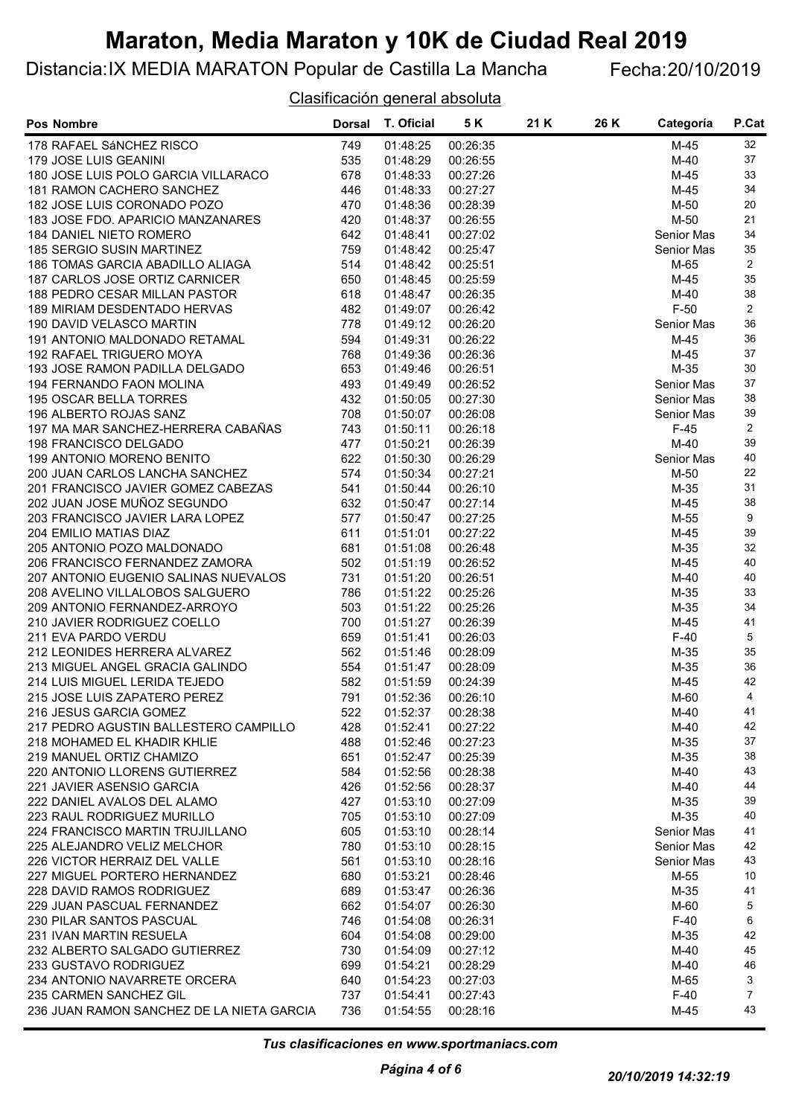### Distancia:IX MEDIA MARATON Popular de Castilla La Mancha Fecha:20/10/2019

#### Clasificación general absoluta

| <b>Pos Nombre</b>                                  | <b>Dorsal</b> | T. Oficial           | 5 K                  | 21 K | 26 K | Categoría         | P.Cat          |
|----------------------------------------------------|---------------|----------------------|----------------------|------|------|-------------------|----------------|
| 178 RAFAEL SÁNCHEZ RISCO                           | 749           | 01:48:25             | 00:26:35             |      |      | M-45              | 32             |
| 179 JOSE LUIS GEANINI                              | 535           | 01:48:29             | 00:26:55             |      |      | $M-40$            | 37             |
| 180 JOSE LUIS POLO GARCIA VILLARACO                | 678           | 01:48:33             | 00:27:26             |      |      | M-45              | 33             |
| 181 RAMON CACHERO SANCHEZ                          | 446           | 01:48:33             | 00:27:27             |      |      | $M-45$            | 34             |
| 182 JOSE LUIS CORONADO POZO                        | 470           | 01:48:36             | 00:28:39             |      |      | M-50              | 20             |
| 183 JOSE FDO. APARICIO MANZANARES                  | 420           | 01:48:37             | 00:26:55             |      |      | M-50              | 21             |
| 184 DANIEL NIETO ROMERO                            | 642           | 01:48:41             | 00:27:02             |      |      | <b>Senior Mas</b> | 34             |
| 185 SERGIO SUSIN MARTINEZ                          | 759           | 01:48:42             | 00:25:47             |      |      | Senior Mas        | $35\,$         |
| 186 TOMAS GARCIA ABADILLO ALIAGA                   | 514           | 01:48:42             | 00:25:51             |      |      | M-65              | $\overline{2}$ |
| 187 CARLOS JOSE ORTIZ CARNICER                     | 650           | 01:48:45             | 00:25:59             |      |      | M-45              | 35             |
| 188 PEDRO CESAR MILLAN PASTOR                      | 618           | 01:48:47             | 00:26:35             |      |      | M-40              | 38             |
| 189 MIRIAM DESDENTADO HERVAS                       | 482           | 01:49:07             | 00:26:42             |      |      | $F-50$            | $\overline{2}$ |
| 190 DAVID VELASCO MARTIN                           | 778           | 01:49:12             | 00:26:20             |      |      | Senior Mas        | 36             |
| 191 ANTONIO MALDONADO RETAMAL                      | 594           | 01:49:31             | 00:26:22             |      |      | $M-45$            | 36             |
| 192 RAFAEL TRIGUERO MOYA                           | 768           | 01:49:36             | 00:26:36             |      |      | $M-45$            | 37             |
| 193 JOSE RAMON PADILLA DELGADO                     | 653           | 01:49:46             | 00:26:51             |      |      | M-35              | 30             |
| 194 FERNANDO FAON MOLINA                           | 493           | 01:49:49             | 00:26:52             |      |      | Senior Mas        | 37             |
| 195 OSCAR BELLA TORRES                             | 432           | 01:50:05             | 00:27:30             |      |      | <b>Senior Mas</b> | 38             |
| 196 ALBERTO ROJAS SANZ                             | 708           | 01:50:07             | 00:26:08             |      |      | Senior Mas        | 39             |
| 197 MA MAR SANCHEZ-HERRERA CABAÑAS                 | 743           | 01:50:11             | 00:26:18             |      |      | $F-45$            | $\overline{2}$ |
| 198 FRANCISCO DELGADO                              | 477           | 01:50:21             | 00:26:39             |      |      | $M-40$            | 39             |
| 199 ANTONIO MORENO BENITO                          | 622           | 01:50:30             | 00:26:29             |      |      | Senior Mas        | 40             |
| 200 JUAN CARLOS LANCHA SANCHEZ                     | 574           | 01:50:34             | 00:27:21             |      |      | $M-50$            | 22             |
| 201 FRANCISCO JAVIER GOMEZ CABEZAS                 | 541           | 01:50:44             | 00:26:10             |      |      | M-35              | 31             |
| 202 JUAN JOSE MUÑOZ SEGUNDO                        | 632           | 01:50:47             | 00:27:14             |      |      | $M-45$            | 38             |
| 203 FRANCISCO JAVIER LARA LOPEZ                    | 577           | 01:50:47             | 00:27:25             |      |      | M-55              | 9              |
| 204 EMILIO MATIAS DIAZ                             | 611           | 01:51:01             | 00:27:22             |      |      | M-45              | 39             |
| 205 ANTONIO POZO MALDONADO                         | 681           | 01:51:08             | 00:26:48             |      |      | $M-35$            | 32             |
| 206 FRANCISCO FERNANDEZ ZAMORA                     | 502           | 01:51:19             | 00:26:52             |      |      | $M-45$            | 40             |
| 207 ANTONIO EUGENIO SALINAS NUEVALOS               | 731           | 01:51:20             | 00:26:51             |      |      | $M-40$            | 40             |
| 208 AVELINO VILLALOBOS SALGUERO                    | 786           | 01:51:22             | 00:25:26             |      |      | $M-35$            | 33<br>34       |
| 209 ANTONIO FERNANDEZ-ARROYO                       | 503           | 01:51:22<br>01:51:27 | 00:25:26             |      |      | $M-35$            | 41             |
| 210 JAVIER RODRIGUEZ COELLO<br>211 EVA PARDO VERDU | 700<br>659    | 01:51:41             | 00:26:39<br>00:26:03 |      |      | M-45<br>$F-40$    | 5              |
| 212 LEONIDES HERRERA ALVAREZ                       | 562           | 01:51:46             | 00:28:09             |      |      | $M-35$            | 35             |
| 213 MIGUEL ANGEL GRACIA GALINDO                    | 554           | 01:51:47             | 00:28:09             |      |      | $M-35$            | 36             |
| 214 LUIS MIGUEL LERIDA TEJEDO                      | 582           | 01:51:59             | 00:24:39             |      |      | M-45              | 42             |
| 215 JOSE LUIS ZAPATERO PEREZ                       | 791           | 01:52:36             | 00:26:10             |      |      | M-60              | 4              |
| 216 JESUS GARCIA GOMEZ                             | 522           | 01:52:37             | 00:28:38             |      |      | M-40              | 41             |
| 217 PEDRO AGUSTIN BALLESTERO CAMPILLO              | 428           | 01:52:41             | 00:27:22             |      |      | $M-40$            | 42             |
| 218 MOHAMED EL KHADIR KHLIE                        | 488           | 01:52:46             | 00:27:23             |      |      | M-35              | 37             |
| 219 MANUEL ORTIZ CHAMIZO                           | 651           | 01:52:47             | 00:25:39             |      |      | M-35              | 38             |
| 220 ANTONIO LLORENS GUTIERREZ                      | 584           | 01:52:56             | 00:28:38             |      |      | M-40              | 43             |
| 221 JAVIER ASENSIO GARCIA                          | 426           | 01:52:56             | 00:28:37             |      |      | $M-40$            | 44             |
| 222 DANIEL AVALOS DEL ALAMO                        | 427           | 01:53:10             | 00:27:09             |      |      | M-35              | 39             |
| 223 RAUL RODRIGUEZ MURILLO                         | 705           | 01:53:10             | 00:27:09             |      |      | M-35              | 40             |
| 224 FRANCISCO MARTIN TRUJILLANO                    | 605           | 01:53:10             | 00:28:14             |      |      | <b>Senior Mas</b> | 41             |
| 225 ALEJANDRO VELIZ MELCHOR                        | 780           | 01:53:10             | 00:28:15             |      |      | <b>Senior Mas</b> | 42             |
| 226 VICTOR HERRAIZ DEL VALLE                       | 561           | 01:53:10             | 00:28:16             |      |      | <b>Senior Mas</b> | 43             |
| 227 MIGUEL PORTERO HERNANDEZ                       | 680           | 01:53:21             | 00:28:46             |      |      | M-55              | 10             |
| 228 DAVID RAMOS RODRIGUEZ                          | 689           | 01:53:47             | 00:26:36             |      |      | M-35              | 41             |
| 229 JUAN PASCUAL FERNANDEZ                         | 662           | 01:54:07             | 00:26:30             |      |      | M-60              | 5              |
| 230 PILAR SANTOS PASCUAL                           | 746           | 01:54:08             | 00:26:31             |      |      | $F-40$            | 6              |
| 231 IVAN MARTIN RESUELA                            | 604           | 01:54:08             | 00:29:00             |      |      | M-35              | 42             |
| 232 ALBERTO SALGADO GUTIERREZ                      | 730           | 01:54:09             | 00:27:12             |      |      | M-40              | 45             |
| 233 GUSTAVO RODRIGUEZ                              | 699           | 01:54:21             | 00:28:29             |      |      | M-40              | 46             |
| 234 ANTONIO NAVARRETE ORCERA                       | 640           | 01:54:23             | 00:27:03             |      |      | M-65              | 3              |
| 235 CARMEN SANCHEZ GIL                             | 737           | 01:54:41             | 00:27:43             |      |      | $F-40$            | $\overline{7}$ |
| 236 JUAN RAMON SANCHEZ DE LA NIETA GARCIA          | 736           | 01:54:55             | 00:28:16             |      |      | M-45              | 43             |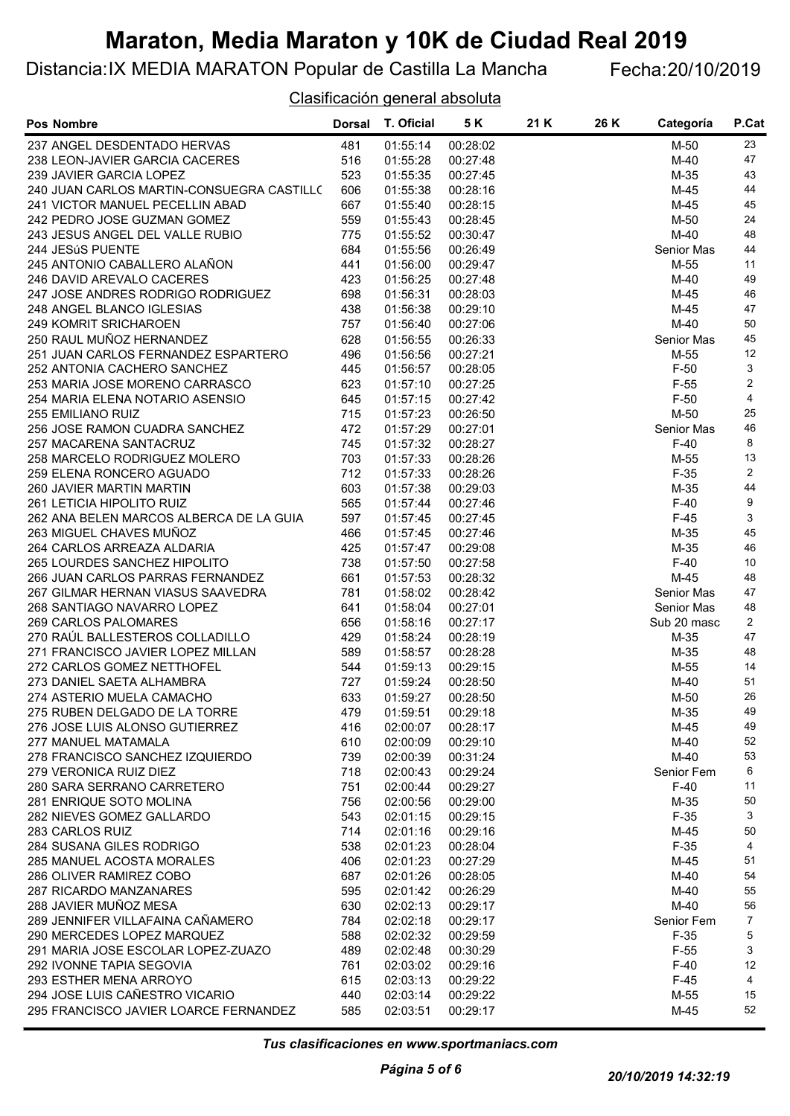### Distancia:IX MEDIA MARATON Popular de Castilla La Mancha Fecha:20/10/2019

Clasificación general absoluta

| <b>Pos Nombre</b>                         | <b>Dorsal</b> | T. Oficial | 5 K      | 21 K | 26 K | Categoría   | P.Cat          |
|-------------------------------------------|---------------|------------|----------|------|------|-------------|----------------|
| 237 ANGEL DESDENTADO HERVAS               | 481           | 01:55:14   | 00:28:02 |      |      | M-50        | 23             |
| 238 LEON-JAVIER GARCIA CACERES            | 516           | 01:55:28   | 00:27:48 |      |      | M-40        | 47             |
| 239 JAVIER GARCIA LOPEZ                   | 523           | 01:55:35   | 00:27:45 |      |      | M-35        | 43             |
| 240 JUAN CARLOS MARTIN-CONSUEGRA CASTILLO | 606           | 01:55:38   | 00:28:16 |      |      | $M-45$      | 44             |
| 241 VICTOR MANUEL PECELLIN ABAD           | 667           | 01:55:40   | 00:28:15 |      |      | M-45        | 45             |
| 242 PEDRO JOSE GUZMAN GOMEZ               | 559           | 01:55:43   | 00:28:45 |      |      | M-50        | 24             |
| 243 JESUS ANGEL DEL VALLE RUBIO           | 775           | 01:55:52   | 00:30:47 |      |      | $M-40$      | 48             |
| 244 JESúS PUENTE                          | 684           | 01:55:56   | 00:26:49 |      |      | Senior Mas  | 44             |
| 245 ANTONIO CABALLERO ALAÑON              | 441           | 01:56:00   | 00:29:47 |      |      | M-55        | 11             |
| 246 DAVID AREVALO CACERES                 | 423           | 01:56:25   | 00:27:48 |      |      | M-40        | 49             |
| 247 JOSE ANDRES RODRIGO RODRIGUEZ         | 698           | 01:56:31   | 00:28:03 |      |      | M-45        | 46             |
| 248 ANGEL BLANCO IGLESIAS                 | 438           | 01:56:38   | 00:29:10 |      |      | $M-45$      | 47             |
| 249 KOMRIT SRICHAROEN                     | 757           | 01:56:40   | 00:27:06 |      |      | $M-40$      | 50             |
| 250 RAUL MUÑOZ HERNANDEZ                  | 628           | 01:56:55   | 00:26:33 |      |      | Senior Mas  | 45             |
| 251 JUAN CARLOS FERNANDEZ ESPARTERO       | 496           | 01:56:56   | 00:27:21 |      |      | M-55        | 12             |
| 252 ANTONIA CACHERO SANCHEZ               | 445           | 01:56:57   | 00:28:05 |      |      | $F-50$      | 3              |
| 253 MARIA JOSE MORENO CARRASCO            | 623           | 01:57:10   | 00:27:25 |      |      | $F-55$      | $\overline{c}$ |
| 254 MARIA ELENA NOTARIO ASENSIO           | 645           | 01:57:15   | 00:27:42 |      |      | $F-50$      | 4              |
| <b>255 EMILIANO RUIZ</b>                  | 715           | 01:57:23   | 00:26:50 |      |      | M-50        | 25             |
| 256 JOSE RAMON CUADRA SANCHEZ             | 472           | 01:57:29   | 00:27:01 |      |      | Senior Mas  | 46             |
| 257 MACARENA SANTACRUZ                    | 745           | 01:57:32   | 00:28:27 |      |      | $F-40$      | 8              |
| 258 MARCELO RODRIGUEZ MOLERO              | 703           | 01:57:33   | 00:28:26 |      |      | M-55        | 13             |
| 259 ELENA RONCERO AGUADO                  | 712           | 01:57:33   | 00:28:26 |      |      | $F-35$      | $\overline{2}$ |
| 260 JAVIER MARTIN MARTIN                  | 603           | 01:57:38   | 00:29:03 |      |      | M-35        | 44             |
| 261 LETICIA HIPOLITO RUIZ                 | 565           | 01:57:44   | 00:27:46 |      |      | $F-40$      | 9              |
| 262 ANA BELEN MARCOS ALBERCA DE LA GUIA   | 597           | 01:57:45   | 00:27:45 |      |      | $F-45$      | 3              |
| 263 MIGUEL CHAVES MUÑOZ                   | 466           | 01:57:45   | 00:27:46 |      |      | M-35        | 45             |
| 264 CARLOS ARREAZA ALDARIA                | 425           | 01:57:47   | 00:29:08 |      |      | $M-35$      | 46             |
| 265 LOURDES SANCHEZ HIPOLITO              | 738           | 01:57:50   | 00:27:58 |      |      | $F-40$      | 10             |
| 266 JUAN CARLOS PARRAS FERNANDEZ          | 661           | 01:57:53   | 00:28:32 |      |      | M-45        | 48             |
|                                           |               |            |          |      |      |             | 47             |
| 267 GILMAR HERNAN VIASUS SAAVEDRA         | 781           | 01:58:02   | 00:28:42 |      |      | Senior Mas  | 48             |
| 268 SANTIAGO NAVARRO LOPEZ                | 641           | 01:58:04   | 00:27:01 |      |      | Senior Mas  | $\overline{2}$ |
| 269 CARLOS PALOMARES                      | 656           | 01:58:16   | 00:27:17 |      |      | Sub 20 masc |                |
| 270 RAÚL BALLESTEROS COLLADILLO           | 429           | 01:58:24   | 00:28:19 |      |      | M-35        | 47             |
| 271 FRANCISCO JAVIER LOPEZ MILLAN         | 589           | 01:58:57   | 00:28:28 |      |      | M-35        | 48             |
| 272 CARLOS GOMEZ NETTHOFEL                | 544           | 01:59:13   | 00:29:15 |      |      | M-55        | 14             |
| 273 DANIEL SAETA ALHAMBRA                 | 727           | 01:59:24   | 00:28:50 |      |      | M-40        | 51             |
| 274 ASTERIO MUELA CAMACHO                 | 633           | 01:59:27   | 00:28:50 |      |      | M-50        | 26             |
| 275 RUBEN DELGADO DE LA TORRE             | 479           | 01:59:51   | 00:29:18 |      |      | M-35        | 49             |
| 276 JOSE LUIS ALONSO GUTIERREZ            | 416           | 02:00:07   | 00:28:17 |      |      | M-45        | 49             |
| 277 MANUEL MATAMALA                       | 610           | 02:00:09   | 00:29:10 |      |      | $M-40$      | 52             |
| 278 FRANCISCO SANCHEZ IZQUIERDO           | 739           | 02:00:39   | 00:31:24 |      |      | M-40        | 53             |
| 279 VERONICA RUIZ DIEZ                    | 718           | 02:00:43   | 00:29:24 |      |      | Senior Fem  | 6              |
| 280 SARA SERRANO CARRETERO                | 751           | 02:00:44   | 00:29:27 |      |      | $F-40$      | 11             |
| 281 ENRIQUE SOTO MOLINA                   | 756           | 02:00:56   | 00:29:00 |      |      | M-35        | 50             |
| 282 NIEVES GOMEZ GALLARDO                 | 543           | 02:01:15   | 00:29:15 |      |      | $F-35$      | 3              |
| 283 CARLOS RUIZ                           | 714           | 02:01:16   | 00:29:16 |      |      | M-45        | 50             |
| 284 SUSANA GILES RODRIGO                  | 538           | 02:01:23   | 00:28:04 |      |      | $F-35$      | 4              |
| 285 MANUEL ACOSTA MORALES                 | 406           | 02:01:23   | 00:27:29 |      |      | M-45        | 51             |
| 286 OLIVER RAMIREZ COBO                   | 687           | 02:01:26   | 00:28:05 |      |      | M-40        | 54             |
| 287 RICARDO MANZANARES                    | 595           | 02:01:42   | 00:26:29 |      |      | M-40        | 55             |
| 288 JAVIER MUÑOZ MESA                     | 630           | 02:02:13   | 00:29:17 |      |      | M-40        | 56             |
| 289 JENNIFER VILLAFAINA CAÑAMERO          | 784           | 02:02:18   | 00:29:17 |      |      | Senior Fem  | $\overline{7}$ |
| 290 MERCEDES LOPEZ MARQUEZ                | 588           | 02:02:32   | 00:29:59 |      |      | $F-35$      | 5              |
| 291 MARIA JOSE ESCOLAR LOPEZ-ZUAZO        | 489           | 02:02:48   | 00:30:29 |      |      | $F-55$      | 3              |
| 292 IVONNE TAPIA SEGOVIA                  | 761           | 02:03:02   | 00:29:16 |      |      | $F-40$      | 12             |
| 293 ESTHER MENA ARROYO                    | 615           | 02:03:13   | 00:29:22 |      |      | $F-45$      | 4              |
| 294 JOSE LUIS CAÑESTRO VICARIO            | 440           | 02:03:14   | 00:29:22 |      |      | M-55        | 15             |
| 295 FRANCISCO JAVIER LOARCE FERNANDEZ     | 585           | 02:03:51   | 00:29:17 |      |      | $M-45$      | 52             |